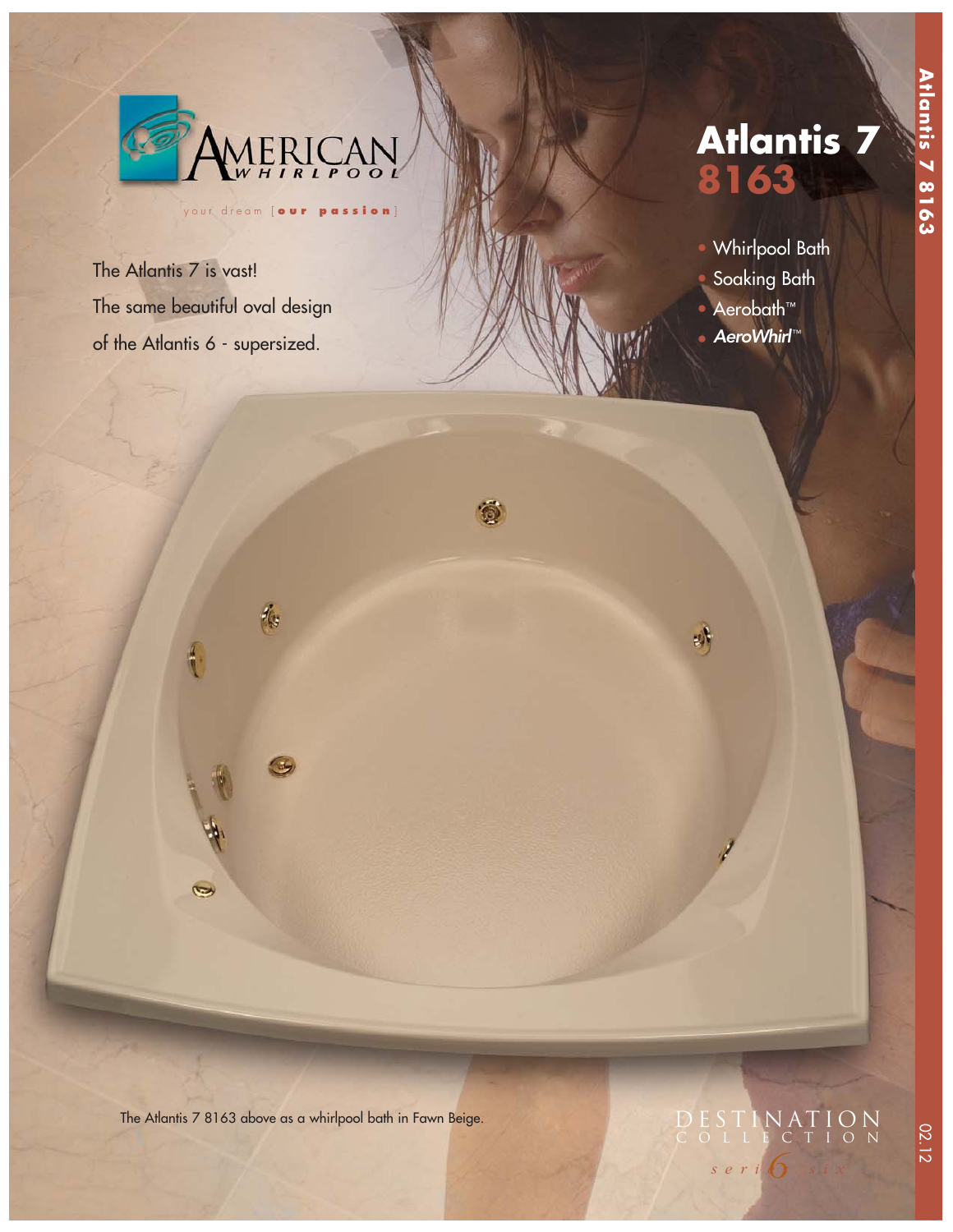

梅

 $\frac{4}{1}$ 

 $\blacktriangleright$ 

your dream [ **our passion** ]

 $\odot$ 

The Atlantis 7 is vast! The same beautiful oval design of the Atlantis 6 - supersized.

# **Atlantis 7 8163**

- Whirlpool Bath
- Soaking Bath
- Aerobath™
- **AeroWhirl™**

明

The Atlantis 7 8163 above as a whirlpool bath in Fawn Beige.

## *6 series six*  DESTINATION COLLECTION